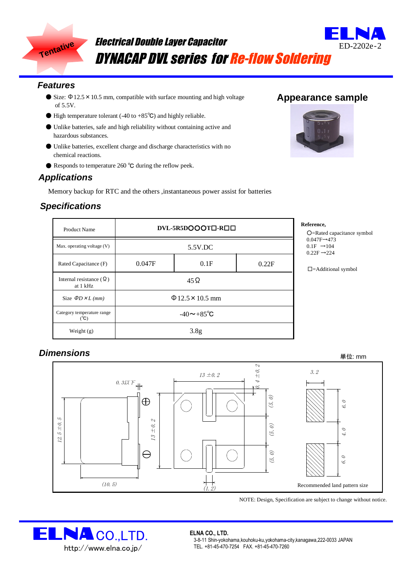

# Electrical Double Layer Capacitor DYNACAP DVL series for Re-flow Soldering

#### *Features*

- Size: Φ12.5×10.5 mm*,* compatible with surface mounting and high voltage of 5.5V.
- High temperature tolerant (-40 to +85°C) and highly reliable.
- Unlike batteries, safe and high reliability without containing active and hazardous substances.
- Unlike batteries, excellent charge and discharge characteristics with no chemical reactions.
- Responds to temperature 260 °C during the reflow peek.

### *Applications*

Memory backup for RTC and the others ,instantaneous power assist for batteries

### *Specifications*

| <b>Product Name</b>                         | DVL-5R5DOOOT <sub>D-ROO</sub> |      |       |
|---------------------------------------------|-------------------------------|------|-------|
| Max. operating voltage (V)                  | 5.5V.DC                       |      |       |
| Rated Capacitance (F)                       | 0.047F                        | 0.1F | 0.22F |
| Internal resistance $(\Omega)$<br>at 1 kHz  | $45\Omega$                    |      |       |
| Size $\Phi D \times L$ (mm)                 | $\Phi$ 12.5 $\times$ 10.5 mm  |      |       |
| Category temperature range<br>$(^{\circ}C)$ | $-40 \sim +85^{\circ}C$       |      |       |
| Weight $(g)$                                | 3.8 <sub>g</sub>              |      |       |

## **Reference,**

-Rated capacitance symbol  $47F\rightarrow 473$  $F \rightarrow 104$  $2F \rightarrow 224$ 

□=Additional symbol

### *Dimensions*



NOTE: Design, Specification are subject to change without notice.



#### **ELNA CO., LTD.**

3-8-11 Shin-yokohama,kouhoku-ku,yokohama-city,kanagawa,222-0033 JAPAN TEL. +81-45-470-7254 FAX. +81-45-470-7260

# **Appearance sample**

ED-2202e‐2